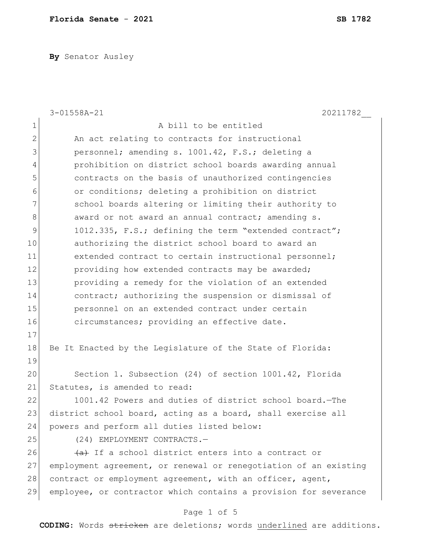**By** Senator Ausley

|              | $3 - 01558A - 21$<br>20211782                                    |
|--------------|------------------------------------------------------------------|
| 1            | A bill to be entitled                                            |
| $\mathbf{2}$ | An act relating to contracts for instructional                   |
| 3            | personnel; amending s. 1001.42, F.S.; deleting a                 |
| 4            | prohibition on district school boards awarding annual            |
| 5            | contracts on the basis of unauthorized contingencies             |
| 6            | or conditions; deleting a prohibition on district                |
| 7            | school boards altering or limiting their authority to            |
| 8            | award or not award an annual contract; amending s.               |
| 9            | 1012.335, F.S.; defining the term "extended contract";           |
| 10           | authorizing the district school board to award an                |
| 11           | extended contract to certain instructional personnel;            |
| 12           | providing how extended contracts may be awarded;                 |
| 13           | providing a remedy for the violation of an extended              |
| 14           | contract; authorizing the suspension or dismissal of             |
| 15           | personnel on an extended contract under certain                  |
| 16           | circumstances; providing an effective date.                      |
| 17           |                                                                  |
| 18           | Be It Enacted by the Legislature of the State of Florida:        |
| 19           |                                                                  |
| 20           | Section 1. Subsection (24) of section 1001.42, Florida           |
| 21           | Statutes, is amended to read:                                    |
| 22           | 1001.42 Powers and duties of district school board. The          |
| 23           | district school board, acting as a board, shall exercise all     |
| 24           | powers and perform all duties listed below:                      |
| 25           | (24) EMPLOYMENT CONTRACTS.-                                      |
| 26           | (a) If a school district enters into a contract or               |
| 27           | employment agreement, or renewal or renegotiation of an existing |
| 28           | contract or employment agreement, with an officer, agent,        |
| 29           | employee, or contractor which contains a provision for severance |
|              | Page 1 of 5                                                      |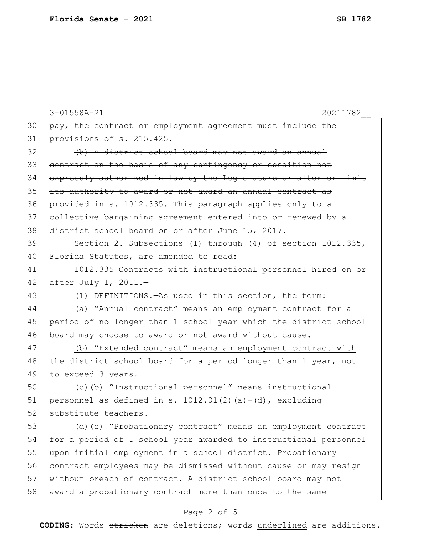|    | 20211782<br>$3 - 01558A - 21$                                                      |
|----|------------------------------------------------------------------------------------|
| 30 | pay, the contract or employment agreement must include the                         |
| 31 | provisions of s. 215.425.                                                          |
| 32 | (b) A district school board may not award an annual                                |
| 33 | contract on the basis of any contingency or condition not                          |
| 34 | expressly authorized in law by the Legislature or alter or limit                   |
| 35 | its authority to award or not award an annual contract as                          |
| 36 | provided in s. 1012.335. This paragraph applies only to a                          |
| 37 | collective bargaining agreement entered into or renewed by a                       |
| 38 | district school board on or after June 15, 2017.                                   |
| 39 | Section 2. Subsections (1) through (4) of section 1012.335,                        |
| 40 | Florida Statutes, are amended to read:                                             |
| 41 | 1012.335 Contracts with instructional personnel hired on or                        |
| 42 | after July 1, $2011.-$                                                             |
| 43 | (1) DEFINITIONS. - As used in this section, the term:                              |
| 44 | (a) "Annual contract" means an employment contract for a                           |
| 45 | period of no longer than 1 school year which the district school                   |
| 46 | board may choose to award or not award without cause.                              |
| 47 | (b) "Extended contract" means an employment contract with                          |
| 48 | the district school board for a period longer than 1 year, not                     |
| 49 | to exceed 3 years.                                                                 |
| 50 | (c) (b) "Instructional personnel" means instructional                              |
| 51 | personnel as defined in s. $1012.01(2)$ (a) - (d), excluding                       |
| 52 | substitute teachers.                                                               |
| 53 | (d) $\left\{\text{e}\right\}$ "Probationary contract" means an employment contract |
| 54 | for a period of 1 school year awarded to instructional personnel                   |
| 55 | upon initial employment in a school district. Probationary                         |
| 56 | contract employees may be dismissed without cause or may resign                    |
| 57 | without breach of contract. A district school board may not                        |
| 58 | award a probationary contract more than once to the same                           |

## Page 2 of 5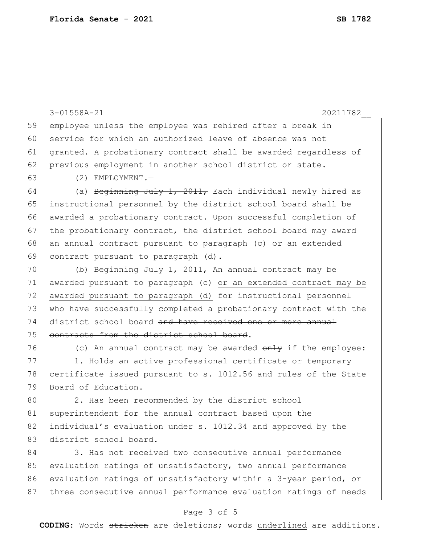|    | $3 - 01558A - 21$<br>20211782                                    |
|----|------------------------------------------------------------------|
|    |                                                                  |
| 59 | employee unless the employee was rehired after a break in        |
| 60 | service for which an authorized leave of absence was not         |
| 61 | granted. A probationary contract shall be awarded regardless of  |
| 62 | previous employment in another school district or state.         |
| 63 | $(2)$ EMPLOYMENT. -                                              |
| 64 | (a) Beginning July 1, 2011, Each individual newly hired as       |
| 65 | instructional personnel by the district school board shall be    |
| 66 | awarded a probationary contract. Upon successful completion of   |
| 67 | the probationary contract, the district school board may award   |
| 68 | an annual contract pursuant to paragraph (c) or an extended      |
| 69 | contract pursuant to paragraph (d).                              |
| 70 | (b) Beginning July 1, 2011, An annual contract may be            |
| 71 | awarded pursuant to paragraph (c) or an extended contract may be |
| 72 | awarded pursuant to paragraph (d) for instructional personnel    |
| 73 | who have successfully completed a probationary contract with the |
| 74 | district school board and have received one or more annual       |
| 75 | contracts from the district school board.                        |
| 76 | (c) An annual contract may be awarded $\theta$ the the employee: |
| 77 | 1. Holds an active professional certificate or temporary         |
| 78 | certificate issued pursuant to s. 1012.56 and rules of the State |
| 79 | Board of Education.                                              |
| 80 | 2. Has been recommended by the district school                   |
| 81 | superintendent for the annual contract based upon the            |
| 82 | individual's evaluation under s. 1012.34 and approved by the     |
| 83 | district school board.                                           |
| 84 | 3. Has not received two consecutive annual performance           |
| 85 | evaluation ratings of unsatisfactory, two annual performance     |

85 evaluation ratings of unsatisfactory, two annual performance 86 evaluation ratings of unsatisfactory within a 3-year period, or 87 three consecutive annual performance evaluation ratings of needs

## Page 3 of 5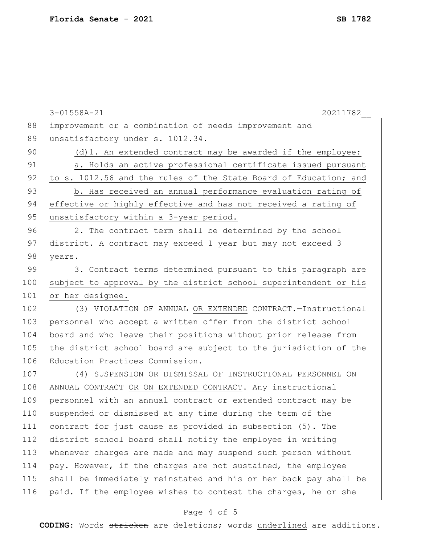|     | 3-01558A-21<br>20211782                                          |
|-----|------------------------------------------------------------------|
| 88  | improvement or a combination of needs improvement and            |
| 89  | unsatisfactory under s. 1012.34.                                 |
| 90  | (d) 1. An extended contract may be awarded if the employee:      |
| 91  | a. Holds an active professional certificate issued pursuant      |
| 92  | to s. 1012.56 and the rules of the State Board of Education; and |
| 93  | b. Has received an annual performance evaluation rating of       |
| 94  | effective or highly effective and has not received a rating of   |
| 95  | unsatisfactory within a 3-year period.                           |
| 96  | 2. The contract term shall be determined by the school           |
| 97  | district. A contract may exceed 1 year but may not exceed 3      |
| 98  | years.                                                           |
| 99  | 3. Contract terms determined pursuant to this paragraph are      |
| 100 | subject to approval by the district school superintendent or his |
| 101 | or her designee.                                                 |
| 102 | (3) VIOLATION OF ANNUAL OR EXTENDED CONTRACT. - Instructional    |
| 103 | personnel who accept a written offer from the district school    |
| 104 | board and who leave their positions without prior release from   |
| 105 | the district school board are subject to the jurisdiction of the |
| 106 | Education Practices Commission.                                  |
| 107 | (4) SUSPENSION OR DISMISSAL OF INSTRUCTIONAL PERSONNEL ON        |
| 108 | ANNUAL CONTRACT OR ON EXTENDED CONTRACT. Any instructional       |
| 109 | personnel with an annual contract or extended contract may be    |
| 110 | suspended or dismissed at any time during the term of the        |
| 111 | contract for just cause as provided in subsection (5). The       |
| 112 | district school board shall notify the employee in writing       |
| 113 | whenever charges are made and may suspend such person without    |
| 114 | pay. However, if the charges are not sustained, the employee     |
| 115 | shall be immediately reinstated and his or her back pay shall be |
| 116 | paid. If the employee wishes to contest the charges, he or she   |
|     |                                                                  |

## Page 4 of 5